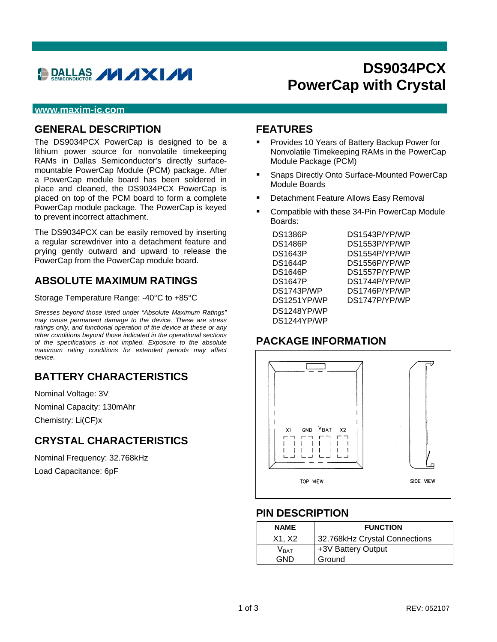# **BRALLAS / / / XI//**

## **DS9034PCX PowerCap with Crystal**

#### **www.maxim-ic.com**

#### **GENERAL DESCRIPTION**

The DS9034PCX PowerCap is designed to be a lithium power source for nonvolatile timekeeping RAMs in Dallas Semiconductor's directly surfacemountable PowerCap Module (PCM) package. After a PowerCap module board has been soldered in place and cleaned, the DS9034PCX PowerCap is placed on top of the PCM board to form a complete PowerCap module package. The PowerCap is keyed to prevent incorrect attachment.

The DS9034PCX can be easily removed by inserting a regular screwdriver into a detachment feature and prying gently outward and upward to release the PowerCap from the PowerCap module board.

#### **ABSOLUTE MAXIMUM RATINGS**

Storage Temperature Range: -40°C to +85°C

*Stresses beyond those listed under "Absolute Maximum Ratings" may cause permanent damage to the device. These are stress ratings only, and functional operation of the device at these or any other conditions beyond those indicated in the operational sections of the specifications is not implied. Exposure to the absolute maximum rating conditions for extended periods may affect device.*

### **BATTERY CHARACTERISTICS**

Nominal Voltage: 3V Nominal Capacity: 130mAhr Chemistry: Li(CF)x

### **CRYSTAL CHARACTERISTICS**

Nominal Frequency: 32.768kHz Load Capacitance: 6pF

#### **FEATURES**

- Provides 10 Years of Battery Backup Power for Nonvolatile Timekeeping RAMs in the PowerCap Module Package (PCM)
- **Snaps Directly Onto Surface-Mounted PowerCap** Module Boards
- Detachment Feature Allows Easy Removal
- Compatible with these 34-Pin PowerCap Module Boards:

| <b>DS1386P</b> |  |
|----------------|--|
| DS1486P        |  |
| <b>DS1643P</b> |  |
| <b>DS1644P</b> |  |
| DS1646P        |  |
| <b>DS1647P</b> |  |
| DS1743P/WP     |  |
| DS1251YP/WP    |  |
| DS1248YP/WP    |  |
| DS1244YP/WP    |  |

DS1543P/YP/WP DS1553P/YP/WP DS1554P/YP/WP DS1556P/YP/WP DS1557P/YP/WP DS1744P/YP/WP DS1746P/YP/WP DS1747P/YP/WP

#### **PACKAGE INFORMATION**



#### **PIN DESCRIPTION**

| <b>NAME</b>      | <b>FUNCTION</b>               |
|------------------|-------------------------------|
| X1, X2           | 32.768kHz Crystal Connections |
| V <sub>BAT</sub> | +3V Battery Output            |
| GND              | Ground                        |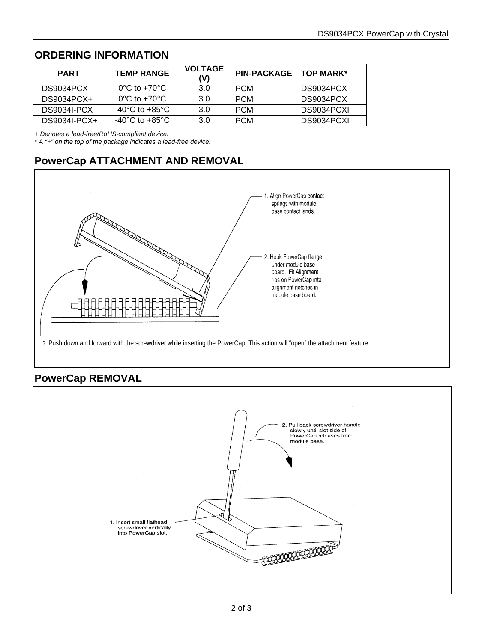## **ORDERING INFORMATION**

| <b>PART</b>  | <b>TEMP RANGE</b>                 | <b>VOLTAGE</b><br>(V) | PIN-PACKAGE TOP MARK* |            |
|--------------|-----------------------------------|-----------------------|-----------------------|------------|
| DS9034PCX    | $0^{\circ}$ C to +70 $^{\circ}$ C | 3.0                   | <b>PCM</b>            | DS9034PCX  |
| $DS9034PCX+$ | $0^{\circ}$ C to $+70^{\circ}$ C  | 3.0                   | <b>PCM</b>            | DS9034PCX  |
| DS9034I-PCX  | -40°C to +85°C                    | 3.0                   | <b>PCM</b>            | DS9034PCXL |
| DS9034I-PCX+ | -40°C to +85°C                    | 3.0                   | <b>PCM</b>            | DS9034PCXI |

+ *Denotes a lead-free/RoHS-compliant device.*

\* *A "+" on the top of the package indicates a lead-free device.*

## **PowerCap ATTACHMENT AND REMOVAL**



#### **PowerCap REMOVAL**